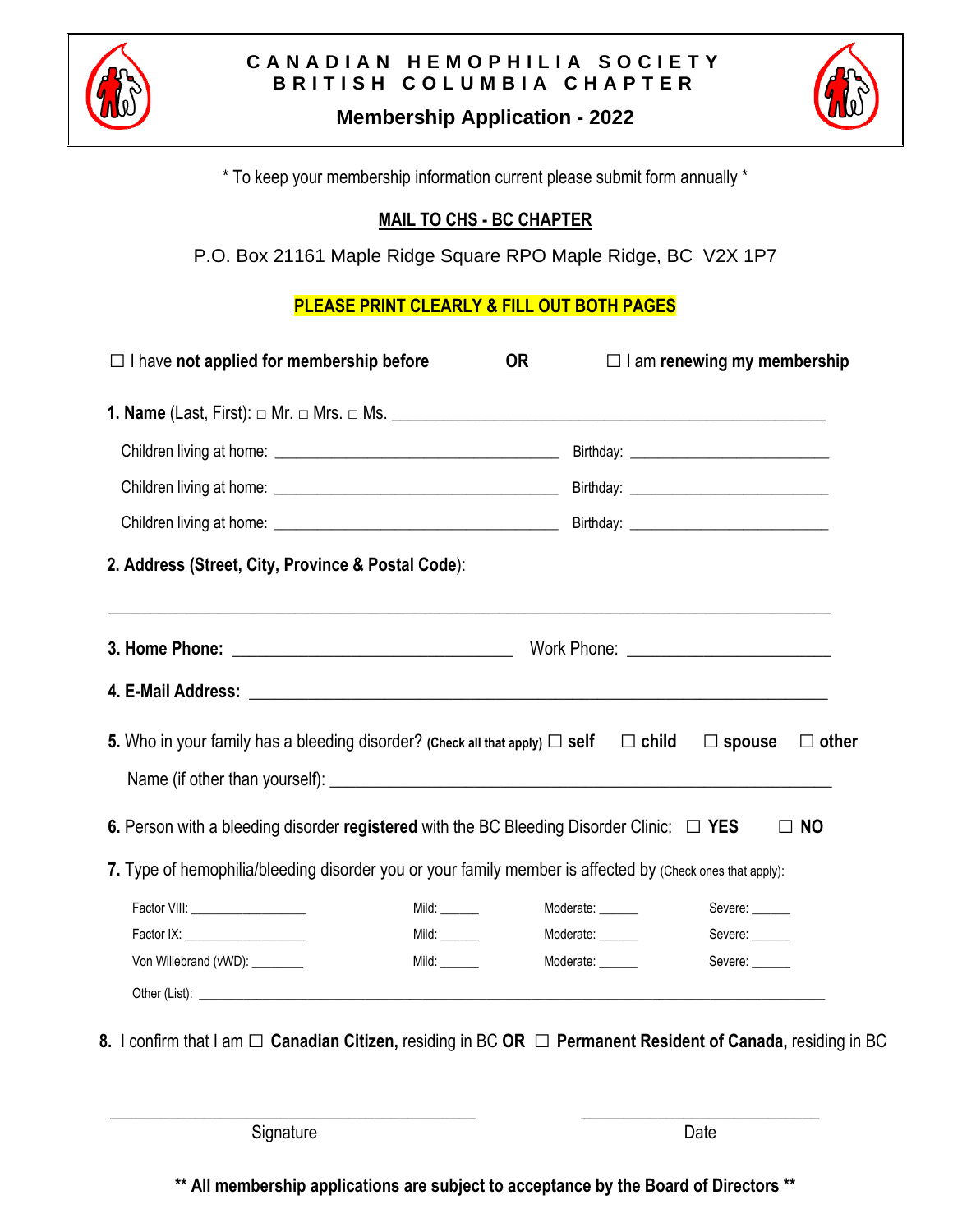

#### **CANADIAN HEMOPHILIA SOCIETY BRITISH COLUMBIA CHAPTER**

# **Membership Application - 2022**



\* To keep your membership information current please submit form annually \*

### **MAIL TO CHS - BC CHAPTER**

P.O. Box 21161 Maple Ridge Square RPO Maple Ridge, BC V2X 1P7

### **PLEASE PRINT CLEARLY & FILL OUT BOTH PAGES**

| 2. Address (Street, City, Province & Postal Code):                                                                                                                                                          |                  |                               |
|-------------------------------------------------------------------------------------------------------------------------------------------------------------------------------------------------------------|------------------|-------------------------------|
|                                                                                                                                                                                                             |                  |                               |
|                                                                                                                                                                                                             |                  |                               |
|                                                                                                                                                                                                             |                  |                               |
|                                                                                                                                                                                                             |                  | $\Box$ spouse<br>$\Box$ other |
| 5. Who in your family has a bleeding disorder? (Check all that apply) $\Box$ self $\Box$ child                                                                                                              |                  |                               |
| 6. Person with a bleeding disorder registered with the BC Bleeding Disorder Clinic: $\Box$ YES<br>7. Type of hemophilia/bleeding disorder you or your family member is affected by (Check ones that apply): |                  | $\Box$ No                     |
| Factor VIII: ___________________                                                                                                                                                                            | Moderate: ______ | Severe: _____                 |
| Factor IX: ____________________                                                                                                                                                                             | Moderate: ______ | Severe: ______                |

**8.** I confirm that I am **□ Canadian Citizen,** residing in BC **OR □ Permanent Resident of Canada,** residing in BC

Signature Date

**\*\* All membership applications are subject to acceptance by the Board of Directors \*\*** 

 $\mathcal{L}_\text{max}$  , and the set of the set of the set of the set of the set of the set of the set of the set of the set of the set of the set of the set of the set of the set of the set of the set of the set of the set of the